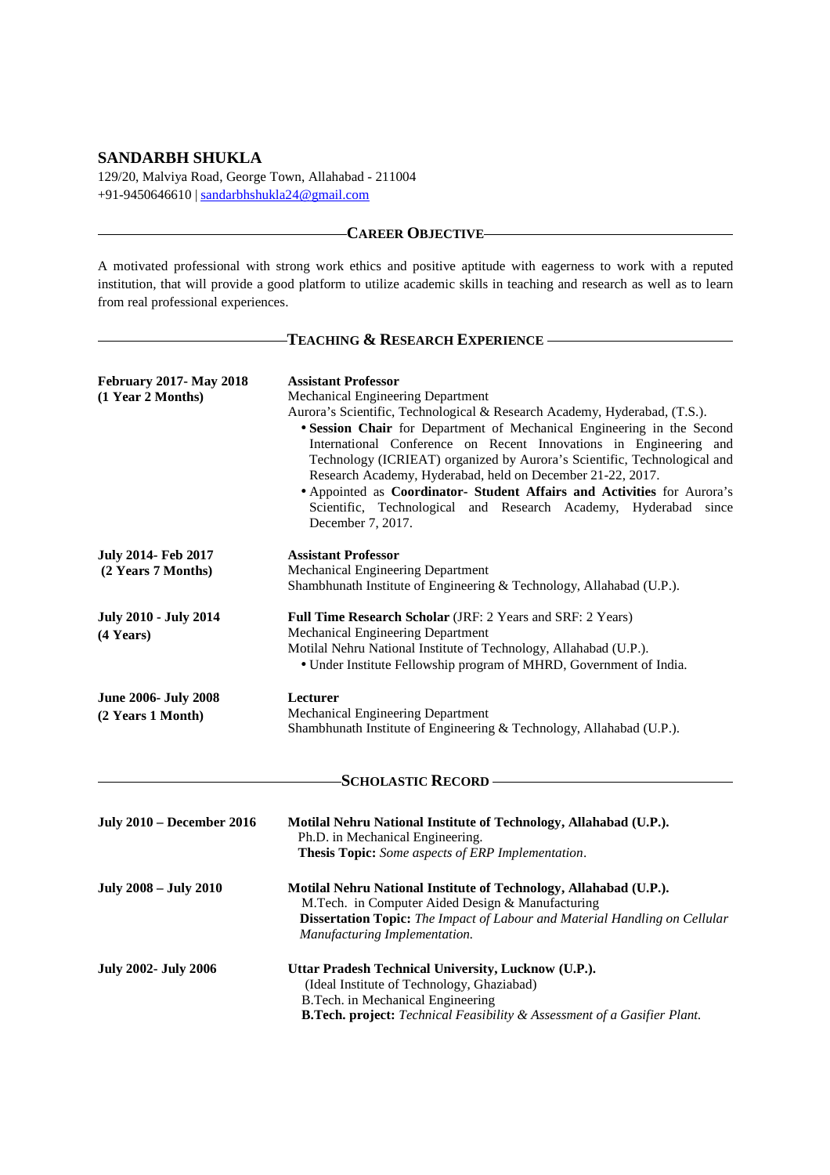# **SANDARBH SHUKLA**

129/20, Malviya Road, George Town, Allahabad - 211004 +91-9450646610 | sandarbhshukla24@gmail.com

# **CAREER OBJECTIVE**

A motivated professional with strong work ethics and positive aptitude with eagerness to work with a reputed institution, that will provide a good platform to utilize academic skills in teaching and research as well as to learn from real professional experiences.

# **TEACHING & RESEARCH EXPERIENCE**

| <b>February 2017-May 2018</b>    | <b>Assistant Professor</b>                                                                                                                 |
|----------------------------------|--------------------------------------------------------------------------------------------------------------------------------------------|
| (1 Year 2 Months)                | Mechanical Engineering Department                                                                                                          |
|                                  | Aurora's Scientific, Technological & Research Academy, Hyderabad, (T.S.).                                                                  |
|                                  | · Session Chair for Department of Mechanical Engineering in the Second                                                                     |
|                                  | International Conference on Recent Innovations in Engineering and                                                                          |
|                                  | Technology (ICRIEAT) organized by Aurora's Scientific, Technological and                                                                   |
|                                  | Research Academy, Hyderabad, held on December 21-22, 2017.                                                                                 |
|                                  |                                                                                                                                            |
|                                  | • Appointed as Coordinator- Student Affairs and Activities for Aurora's<br>Scientific, Technological and Research Academy, Hyderabad since |
|                                  |                                                                                                                                            |
| <b>July 2014- Feb 2017</b>       | <b>Assistant Professor</b>                                                                                                                 |
| (2 Years 7 Months)               | Mechanical Engineering Department                                                                                                          |
|                                  | Shambhunath Institute of Engineering & Technology, Allahabad (U.P.).                                                                       |
| <b>July 2010 - July 2014</b>     | Full Time Research Scholar (JRF: 2 Years and SRF: 2 Years)                                                                                 |
| $(4$ Years)                      | Mechanical Engineering Department                                                                                                          |
|                                  | Motilal Nehru National Institute of Technology, Allahabad (U.P.).                                                                          |
|                                  | • Under Institute Fellowship program of MHRD, Government of India.                                                                         |
| <b>June 2006- July 2008</b>      | Lecturer                                                                                                                                   |
| (2 Years 1 Month)                | Mechanical Engineering Department                                                                                                          |
|                                  | Shambhunath Institute of Engineering & Technology, Allahabad (U.P.).                                                                       |
|                                  | <b>SCHOLASTIC RECORD-</b>                                                                                                                  |
|                                  |                                                                                                                                            |
| <b>July 2010 - December 2016</b> | Motilal Nehru National Institute of Technology, Allahabad (U.P.).                                                                          |
|                                  | Ph.D. in Mechanical Engineering.                                                                                                           |
|                                  | Thesis Topic: Some aspects of ERP Implementation.                                                                                          |
| <b>July 2008 - July 2010</b>     | Motilal Nehru National Institute of Technology, Allahabad (U.P.).                                                                          |
|                                  | M.Tech. in Computer Aided Design & Manufacturing                                                                                           |
|                                  | <b>Dissertation Topic:</b> The Impact of Labour and Material Handling on Cellular                                                          |
|                                  | Manufacturing Implementation.                                                                                                              |
| <b>July 2002- July 2006</b>      | Uttar Pradesh Technical University, Lucknow (U.P.).                                                                                        |
|                                  | (Ideal Institute of Technology, Ghaziabad)                                                                                                 |
|                                  | B.Tech. in Mechanical Engineering                                                                                                          |
|                                  | <b>B.Tech. project:</b> Technical Feasibility & Assessment of a Gasifier Plant.                                                            |
|                                  |                                                                                                                                            |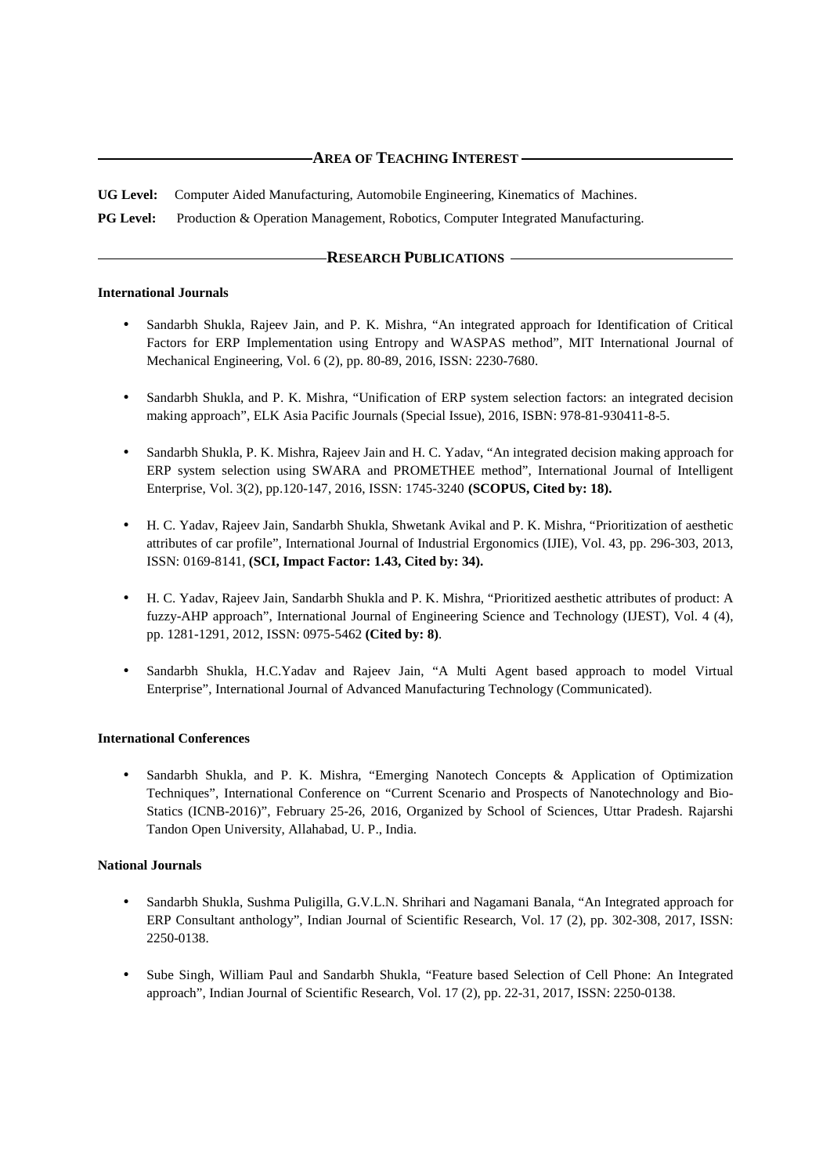# **AREA OF TEACHING INTEREST**

**UG Level:** Computer Aided Manufacturing, Automobile Engineering, Kinematics of Machines.

**PG Level:** Production & Operation Management, Robotics, Computer Integrated Manufacturing.

## **RESEARCH PUBLICATIONS**

#### **International Journals**

- Sandarbh Shukla, Rajeev Jain, and P. K. Mishra, "An integrated approach for Identification of Critical Factors for ERP Implementation using Entropy and WASPAS method", MIT International Journal of Mechanical Engineering, Vol. 6 (2), pp. 80-89, 2016, ISSN: 2230-7680.
- Sandarbh Shukla, and P. K. Mishra, "Unification of ERP system selection factors: an integrated decision making approach", ELK Asia Pacific Journals (Special Issue), 2016, ISBN: 978-81-930411-8-5.
- Sandarbh Shukla, P. K. Mishra, Rajeev Jain and H. C. Yadav, "An integrated decision making approach for ERP system selection using SWARA and PROMETHEE method", International Journal of Intelligent Enterprise, Vol. 3(2), pp.120-147, 2016, ISSN: 1745-3240 **(SCOPUS, Cited by: 18).**
- H. C. Yadav, Rajeev Jain, Sandarbh Shukla, Shwetank Avikal and P. K. Mishra, "Prioritization of aesthetic attributes of car profile", International Journal of Industrial Ergonomics (IJIE), Vol. 43, pp. 296-303, 2013, ISSN: 0169-8141, **(SCI, Impact Factor: 1.43, Cited by: 34).**
- H. C. Yadav, Rajeev Jain, Sandarbh Shukla and P. K. Mishra, "Prioritized aesthetic attributes of product: A fuzzy-AHP approach", International Journal of Engineering Science and Technology (IJEST), Vol. 4 (4), pp. 1281-1291, 2012, ISSN: 0975-5462 **(Cited by: 8)**.
- Sandarbh Shukla, H.C.Yadav and Rajeev Jain, "A Multi Agent based approach to model Virtual Enterprise", International Journal of Advanced Manufacturing Technology (Communicated).

## **International Conferences**

• Sandarbh Shukla, and P. K. Mishra, "Emerging Nanotech Concepts & Application of Optimization Techniques", International Conference on "Current Scenario and Prospects of Nanotechnology and Bio-Statics (ICNB-2016)", February 25-26, 2016, Organized by School of Sciences, Uttar Pradesh. Rajarshi Tandon Open University, Allahabad, U. P., India.

## **National Journals**

- Sandarbh Shukla, Sushma Puligilla, G.V.L.N. Shrihari and Nagamani Banala, "An Integrated approach for ERP Consultant anthology", Indian Journal of Scientific Research, Vol. 17 (2), pp. 302-308, 2017, ISSN: 2250-0138.
- Sube Singh, William Paul and Sandarbh Shukla, "Feature based Selection of Cell Phone: An Integrated approach", Indian Journal of Scientific Research, Vol. 17 (2), pp. 22-31, 2017, ISSN: 2250-0138.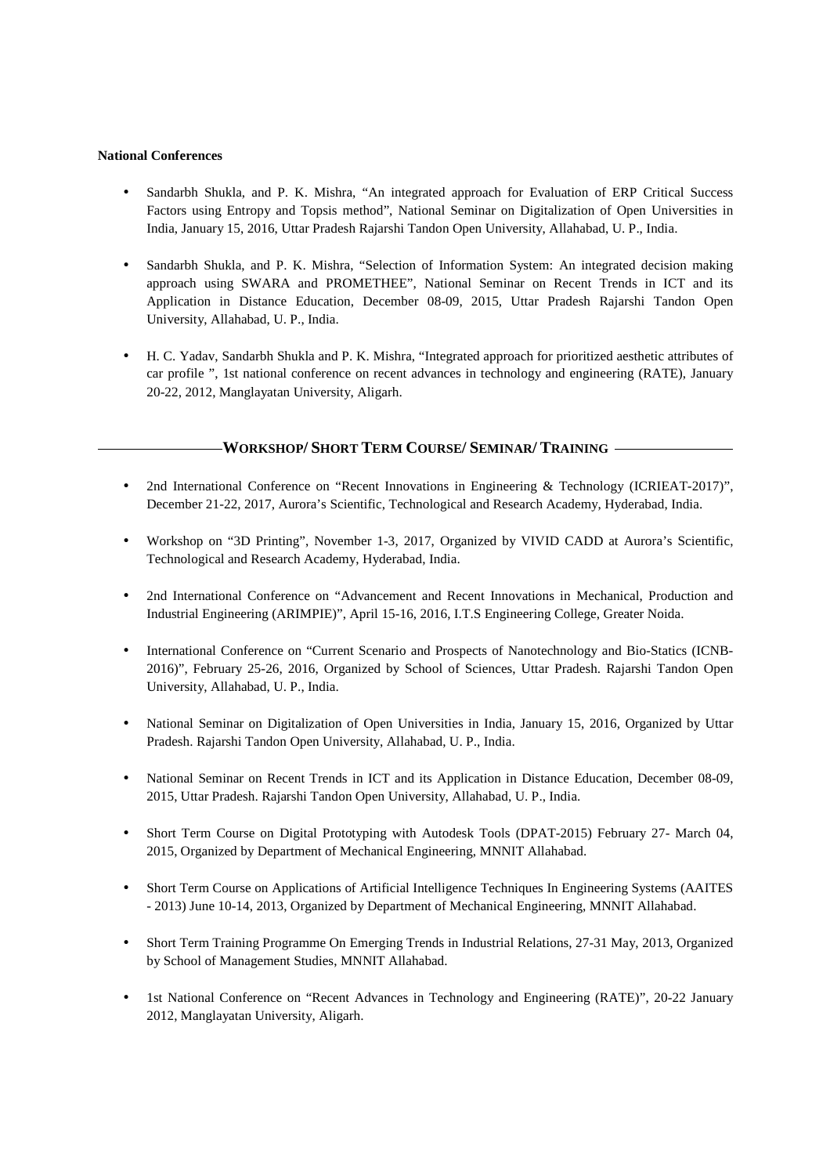### **National Conferences**

- Sandarbh Shukla, and P. K. Mishra, "An integrated approach for Evaluation of ERP Critical Success Factors using Entropy and Topsis method", National Seminar on Digitalization of Open Universities in India, January 15, 2016, Uttar Pradesh Rajarshi Tandon Open University, Allahabad, U. P., India.
- Sandarbh Shukla, and P. K. Mishra, "Selection of Information System: An integrated decision making approach using SWARA and PROMETHEE", National Seminar on Recent Trends in ICT and its Application in Distance Education, December 08-09, 2015, Uttar Pradesh Rajarshi Tandon Open University, Allahabad, U. P., India.
- H. C. Yadav, Sandarbh Shukla and P. K. Mishra, "Integrated approach for prioritized aesthetic attributes of car profile ", 1st national conference on recent advances in technology and engineering (RATE), January 20-22, 2012, Manglayatan University, Aligarh.

# **WORKSHOP/ SHORT TERM COURSE/ SEMINAR/ TRAINING**

- 2nd International Conference on "Recent Innovations in Engineering & Technology (ICRIEAT-2017)", December 21-22, 2017, Aurora's Scientific, Technological and Research Academy, Hyderabad, India.
- Workshop on "3D Printing", November 1-3, 2017, Organized by VIVID CADD at Aurora's Scientific, Technological and Research Academy, Hyderabad, India.
- 2nd International Conference on "Advancement and Recent Innovations in Mechanical, Production and Industrial Engineering (ARIMPIE)", April 15-16, 2016, I.T.S Engineering College, Greater Noida.
- International Conference on "Current Scenario and Prospects of Nanotechnology and Bio-Statics (ICNB-2016)", February 25-26, 2016, Organized by School of Sciences, Uttar Pradesh. Rajarshi Tandon Open University, Allahabad, U. P., India.
- National Seminar on Digitalization of Open Universities in India, January 15, 2016, Organized by Uttar Pradesh. Rajarshi Tandon Open University, Allahabad, U. P., India.
- National Seminar on Recent Trends in ICT and its Application in Distance Education, December 08-09, 2015, Uttar Pradesh. Rajarshi Tandon Open University, Allahabad, U. P., India.
- Short Term Course on Digital Prototyping with Autodesk Tools (DPAT-2015) February 27- March 04, 2015, Organized by Department of Mechanical Engineering, MNNIT Allahabad.
- Short Term Course on Applications of Artificial Intelligence Techniques In Engineering Systems (AAITES - 2013) June 10-14, 2013, Organized by Department of Mechanical Engineering, MNNIT Allahabad.
- Short Term Training Programme On Emerging Trends in Industrial Relations, 27-31 May, 2013, Organized by School of Management Studies, MNNIT Allahabad.
- 1st National Conference on "Recent Advances in Technology and Engineering (RATE)", 20-22 January 2012, Manglayatan University, Aligarh.